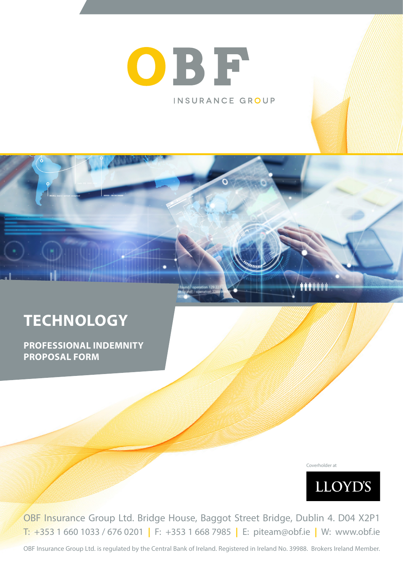# OBF INSURANCE GROUP

## **TECHNOLOGY**

**PROFESSIONAL INDEMNITY PROPOSAL FORM**

Coverholder at



OBF Insurance Group Ltd. Bridge House, Baggot Street Bridge, Dublin 4. D04 X2P1 T: +353 1 660 1033 / 676 0201 **|** F: +353 1 668 7985 **|** E: piteam@obf.ie **|** W: www.obf.ie

OBF Insurance Group Ltd. is regulated by the Central Bank of Ireland. Registered in Ireland No. 39988. Brokers Ireland Member.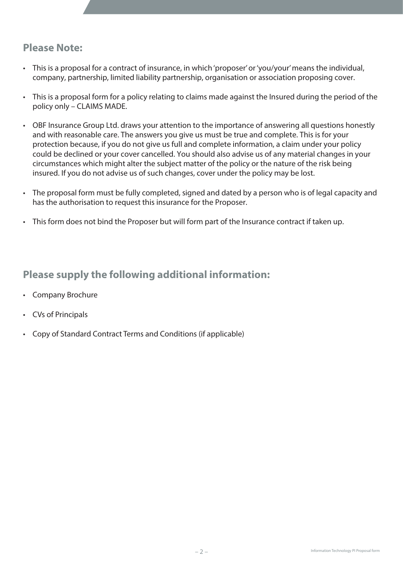### **Please Note:**

- This is a proposal for a contract of insurance, in which 'proposer' or 'you/your' means the individual, company, partnership, limited liability partnership, organisation or association proposing cover.
- This is a proposal form for a policy relating to claims made against the Insured during the period of the policy only – CLAIMS MADE.
- OBF Insurance Group Ltd. draws your attention to the importance of answering all questions honestly and with reasonable care. The answers you give us must be true and complete. This is for your protection because, if you do not give us full and complete information, a claim under your policy could be declined or your cover cancelled. You should also advise us of any material changes in your circumstances which might alter the subject matter of the policy or the nature of the risk being insured. If you do not advise us of such changes, cover under the policy may be lost.
- The proposal form must be fully completed, signed and dated by a person who is of legal capacity and has the authorisation to request this insurance for the Proposer.
- This form does not bind the Proposer but will form part of the Insurance contract if taken up.

## **Please supply the following additional information:**

- Company Brochure
- CVs of Principals
- Copy of Standard Contract Terms and Conditions (if applicable)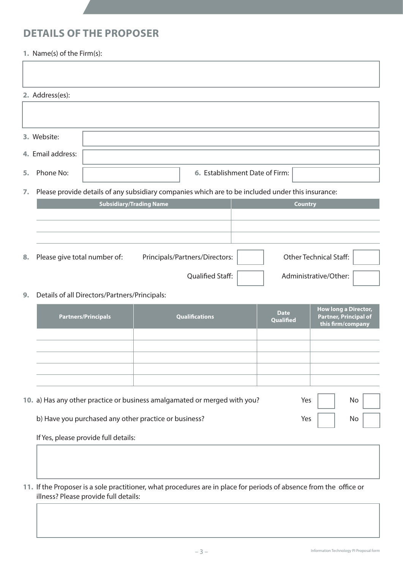### **DETAILS OF THE PROPOSER**

#### **1.** Name(s) of the Firm(s):

|    | 2. Address(es):              |                                               |                                |                                                                                                   |                |                          |                                                                                  |  |  |
|----|------------------------------|-----------------------------------------------|--------------------------------|---------------------------------------------------------------------------------------------------|----------------|--------------------------|----------------------------------------------------------------------------------|--|--|
|    |                              |                                               |                                |                                                                                                   |                |                          |                                                                                  |  |  |
|    | 3. Website:                  |                                               |                                |                                                                                                   |                |                          |                                                                                  |  |  |
|    | 4. Email address:            |                                               |                                |                                                                                                   |                |                          |                                                                                  |  |  |
| 5. | Phone No:                    |                                               |                                | 6. Establishment Date of Firm:                                                                    |                |                          |                                                                                  |  |  |
| 7. |                              |                                               |                                | Please provide details of any subsidiary companies which are to be included under this insurance: |                |                          |                                                                                  |  |  |
|    |                              |                                               | <b>Subsidiary/Trading Name</b> |                                                                                                   | <b>Country</b> |                          |                                                                                  |  |  |
|    |                              |                                               |                                |                                                                                                   |                |                          |                                                                                  |  |  |
|    |                              |                                               |                                |                                                                                                   |                |                          |                                                                                  |  |  |
| 8. | Please give total number of: |                                               |                                | Principals/Partners/Directors:                                                                    |                |                          | <b>Other Technical Staff:</b>                                                    |  |  |
|    |                              |                                               |                                | <b>Qualified Staff:</b>                                                                           |                |                          | Administrative/Other:                                                            |  |  |
| 9. |                              | Details of all Directors/Partners/Principals: |                                |                                                                                                   |                |                          |                                                                                  |  |  |
|    |                              | <b>Partners/Principals</b>                    |                                | <b>Qualifications</b>                                                                             |                | <b>Date</b><br>Qualified | <b>How long a Director,</b><br><b>Partner, Principal of</b><br>this firm/company |  |  |

| 10. a) Has any other practice or business amalgamated or merged with you? | Yes $\overline{1}$ | No |  |
|---------------------------------------------------------------------------|--------------------|----|--|
| b) Have you purchased any other practice or business?                     | Yes $\vert$        | No |  |
|                                                                           |                    |    |  |

 If Yes, please provide full details:

**11.** If the Proposer is a sole practitioner, what procedures are in place for periods of absence from the office or illness? Please provide full details: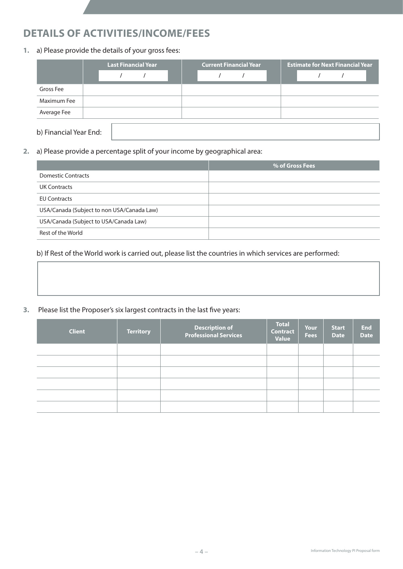## **DETAILS OF ACTIVITIES/INCOME/FEES**

**1.** a) Please provide the details of your gross fees:

|                        | <b>Last Financial Year</b> |  | <b>Current Financial Year</b> |  |  | <b>Estimate for Next Financial Year</b> |  |  |  |  |
|------------------------|----------------------------|--|-------------------------------|--|--|-----------------------------------------|--|--|--|--|
|                        |                            |  |                               |  |  |                                         |  |  |  |  |
| Gross Fee              |                            |  |                               |  |  |                                         |  |  |  |  |
| Maximum Fee            |                            |  |                               |  |  |                                         |  |  |  |  |
| Average Fee            |                            |  |                               |  |  |                                         |  |  |  |  |
| b) Financial Year End: |                            |  |                               |  |  |                                         |  |  |  |  |

**2.** a) Please provide a percentage split of your income by geographical area:

|                                            | % of Gross Fees |
|--------------------------------------------|-----------------|
| <b>Domestic Contracts</b>                  |                 |
| <b>UK Contracts</b>                        |                 |
| <b>EU Contracts</b>                        |                 |
| USA/Canada (Subject to non USA/Canada Law) |                 |
| USA/Canada (Subject to USA/Canada Law)     |                 |
| Rest of the World                          |                 |

#### b) If Rest of the World work is carried out, please list the countries in which services are performed:

#### **3.** Please list the Proposer's six largest contracts in the last five years:

| <b>Client</b> | <b>Territory</b> | Description of<br>Professional Services | <b>Total</b><br><b>Contract</b><br><b>Value</b> | <b>Your</b><br><b>Fees</b> | <b>Start</b><br><b>Date</b> | <b>End</b><br><b>Date</b> |
|---------------|------------------|-----------------------------------------|-------------------------------------------------|----------------------------|-----------------------------|---------------------------|
|               |                  |                                         |                                                 |                            |                             |                           |
|               |                  |                                         |                                                 |                            |                             |                           |
|               |                  |                                         |                                                 |                            |                             |                           |
|               |                  |                                         |                                                 |                            |                             |                           |
|               |                  |                                         |                                                 |                            |                             |                           |
|               |                  |                                         |                                                 |                            |                             |                           |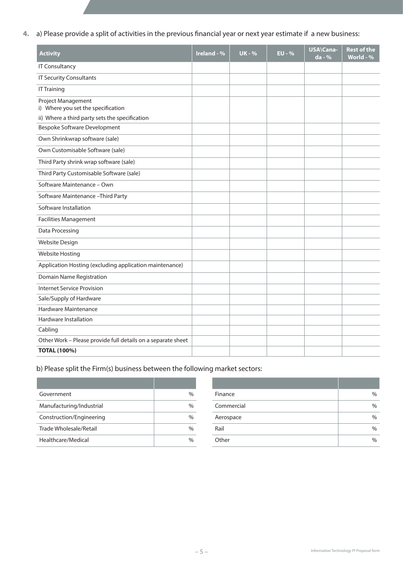**4.** a) Please provide a split of activities in the previous financial year or next year estimate if a new business:

| <b>Activity</b>                                              | Ireland - % | <b>UK - %</b> | $EU - %$ | USA\Cana-<br>da - % | <b>Rest of the</b><br>World - % |
|--------------------------------------------------------------|-------------|---------------|----------|---------------------|---------------------------------|
| <b>IT Consultancy</b>                                        |             |               |          |                     |                                 |
| <b>IT Security Consultants</b>                               |             |               |          |                     |                                 |
| <b>IT Training</b>                                           |             |               |          |                     |                                 |
| Project Management<br>i) Where you set the specification     |             |               |          |                     |                                 |
| ii) Where a third party sets the specification               |             |               |          |                     |                                 |
| Bespoke Software Development                                 |             |               |          |                     |                                 |
| Own Shrinkwrap software (sale)                               |             |               |          |                     |                                 |
| Own Customisable Software (sale)                             |             |               |          |                     |                                 |
| Third Party shrink wrap software (sale)                      |             |               |          |                     |                                 |
| Third Party Customisable Software (sale)                     |             |               |          |                     |                                 |
| Software Maintenance - Own                                   |             |               |          |                     |                                 |
| Software Maintenance - Third Party                           |             |               |          |                     |                                 |
| Software Installation                                        |             |               |          |                     |                                 |
| <b>Facilities Management</b>                                 |             |               |          |                     |                                 |
| Data Processing                                              |             |               |          |                     |                                 |
| <b>Website Design</b>                                        |             |               |          |                     |                                 |
| <b>Website Hosting</b>                                       |             |               |          |                     |                                 |
| Application Hosting (excluding application maintenance)      |             |               |          |                     |                                 |
| Domain Name Registration                                     |             |               |          |                     |                                 |
| <b>Internet Service Provision</b>                            |             |               |          |                     |                                 |
| Sale/Supply of Hardware                                      |             |               |          |                     |                                 |
| Hardware Maintenance                                         |             |               |          |                     |                                 |
| <b>Hardware Installation</b>                                 |             |               |          |                     |                                 |
| Cabling                                                      |             |               |          |                     |                                 |
| Other Work - Please provide full details on a separate sheet |             |               |          |                     |                                 |
| <b>TOTAL (100%)</b>                                          |             |               |          |                     |                                 |

 b) Please split the Firm(s) business between the following market sectors:

| Government               | $\%$ |
|--------------------------|------|
| Manufacturing/Industrial |      |
| Construction/Engineering |      |
| Trade Wholesale/Retail   | $\%$ |
| Healthcare/Medical       |      |

| Government               | $\%$ | Finance    | $\%$ |
|--------------------------|------|------------|------|
| Manufacturing/Industrial | $\%$ | Commercial | $\%$ |
| Construction/Engineering | $\%$ | Aerospace  | $\%$ |
| Trade Wholesale/Retail   | $\%$ | Rail       | $\%$ |
| Healthcare/Medical       | $\%$ | Other      | $\%$ |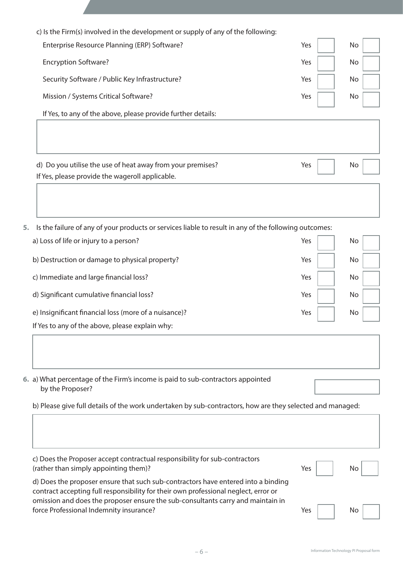|    | Enterprise Resource Planning (ERP) Software?                                                                                                                             | Yes | No |
|----|--------------------------------------------------------------------------------------------------------------------------------------------------------------------------|-----|----|
|    |                                                                                                                                                                          |     |    |
|    | <b>Encryption Software?</b>                                                                                                                                              | Yes | No |
|    | Security Software / Public Key Infrastructure?                                                                                                                           | Yes | No |
|    | Mission / Systems Critical Software?                                                                                                                                     | Yes | No |
|    | If Yes, to any of the above, please provide further details:                                                                                                             |     |    |
|    |                                                                                                                                                                          |     |    |
|    | d) Do you utilise the use of heat away from your premises?                                                                                                               | Yes | No |
|    | If Yes, please provide the wageroll applicable.                                                                                                                          |     |    |
|    |                                                                                                                                                                          |     |    |
| 5. | Is the failure of any of your products or services liable to result in any of the following outcomes:                                                                    |     |    |
|    | a) Loss of life or injury to a person?                                                                                                                                   | Yes | No |
|    | b) Destruction or damage to physical property?                                                                                                                           | Yes | No |
|    | c) Immediate and large financial loss?                                                                                                                                   | Yes | No |
|    | d) Significant cumulative financial loss?                                                                                                                                | Yes | No |
|    | e) Insignificant financial loss (more of a nuisance)?                                                                                                                    | Yes | No |
|    | If Yes to any of the above, please explain why:                                                                                                                          |     |    |
|    |                                                                                                                                                                          |     |    |
|    |                                                                                                                                                                          |     |    |
|    | 6. a) What percentage of the Firm's income is paid to sub-contractors appointed<br>by the Proposer?                                                                      |     |    |
|    | b) Please give full details of the work undertaken by sub-contractors, how are they selected and managed:                                                                |     |    |
|    |                                                                                                                                                                          |     |    |
|    |                                                                                                                                                                          |     |    |
|    | c) Does the Proposer accept contractual responsibility for sub-contractors<br>(rather than simply appointing them)?                                                      | Yes | No |
|    | d) Does the proposer ensure that such sub-contractors have entered into a binding<br>contract accepting full responsibility for their own professional neglect, error or |     |    |
|    | omission and does the proposer ensure the sub-consultants carry and maintain in<br>force Professional Indemnity insurance?                                               | Yes | No |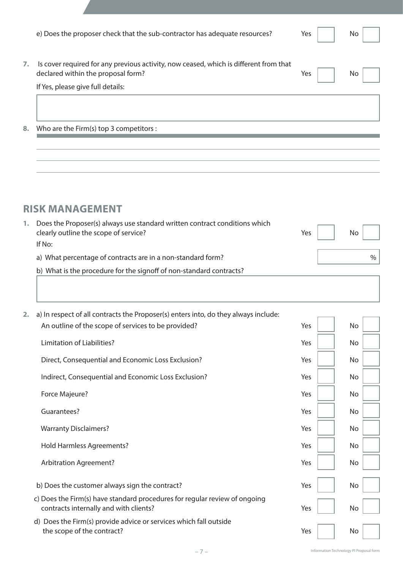|    | e) Does the proposer check that the sub-contractor has adequate resources?                                                  | Yes | No. |
|----|-----------------------------------------------------------------------------------------------------------------------------|-----|-----|
| 7. | Is cover required for any previous activity, now ceased, which is different from that<br>declared within the proposal form? | Yes | No  |
|    | If Yes, please give full details:                                                                                           |     |     |
|    |                                                                                                                             |     |     |
| 8. | Who are the Firm(s) top 3 competitors :                                                                                     |     |     |
|    |                                                                                                                             |     |     |
|    |                                                                                                                             |     |     |

## **RISK MANAGEMENT**

| Does the Proposer(s) always use standard written contract conditions which<br>clearly outline the scope of service? | Yes | No <sub>1</sub> |
|---------------------------------------------------------------------------------------------------------------------|-----|-----------------|
| If No:                                                                                                              |     |                 |
| a) What percentage of contracts are in a non-standard form?                                                         |     |                 |
| b) What is the procedure for the signoff of non-standard contracts?                                                 |     |                 |
|                                                                                                                     |     |                 |

| 2. | a) In respect of all contracts the Proposer(s) enters into, do they always include:                                  |     |    |  |
|----|----------------------------------------------------------------------------------------------------------------------|-----|----|--|
|    | An outline of the scope of services to be provided?                                                                  | Yes | No |  |
|    | Limitation of Liabilities?                                                                                           | Yes | No |  |
|    | Direct, Consequential and Economic Loss Exclusion?                                                                   | Yes | No |  |
|    | Indirect, Consequential and Economic Loss Exclusion?                                                                 | Yes | No |  |
|    | Force Majeure?                                                                                                       | Yes | No |  |
|    | Guarantees?                                                                                                          | Yes | No |  |
|    | <b>Warranty Disclaimers?</b>                                                                                         | Yes | No |  |
|    | <b>Hold Harmless Agreements?</b>                                                                                     | Yes | No |  |
|    | <b>Arbitration Agreement?</b>                                                                                        | Yes | No |  |
|    | b) Does the customer always sign the contract?                                                                       | Yes | No |  |
|    | c) Does the Firm(s) have standard procedures for regular review of ongoing<br>contracts internally and with clients? | Yes | No |  |
|    | Does the Firm(s) provide advice or services which fall outside<br>d)<br>the scope of the contract?                   | Yes | No |  |

H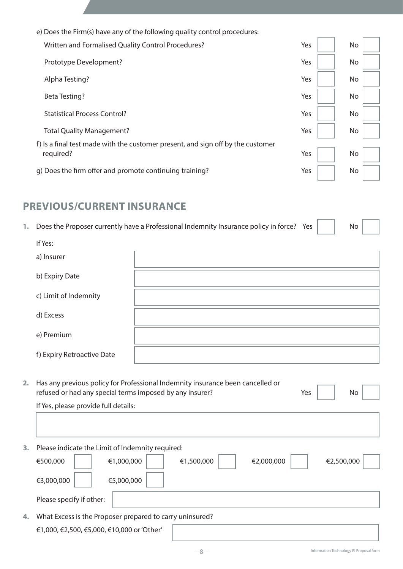| e) Does the Firm(s) have any of the following quality control procedures:       |     |     |
|---------------------------------------------------------------------------------|-----|-----|
| Written and Formalised Quality Control Procedures?                              | Yes | No. |
| Prototype Development?                                                          | Yes | No  |
| Alpha Testing?                                                                  | Yes | No  |
| Beta Testing?                                                                   | Yes | No  |
| <b>Statistical Process Control?</b>                                             | Yes | No  |
| <b>Total Quality Management?</b>                                                | Yes | No  |
| f) Is a final test made with the customer present, and sign off by the customer |     |     |
| required?                                                                       | Yes | No  |
| g) Does the firm offer and promote continuing training?                         | Yes | No  |

#### **PREVIOUS/CURRENT INSURANCE**

|  | Does the Proposer currently have a Professional Indemnity Insurance policy in force? Yes by |  |  |
|--|---------------------------------------------------------------------------------------------|--|--|
|  |                                                                                             |  |  |

|    | If Yes:                                                  |                                                                                |     |    |
|----|----------------------------------------------------------|--------------------------------------------------------------------------------|-----|----|
|    | a) Insurer                                               |                                                                                |     |    |
|    | b) Expiry Date                                           |                                                                                |     |    |
|    | c) Limit of Indemnity                                    |                                                                                |     |    |
|    | d) Excess                                                |                                                                                |     |    |
|    | e) Premium                                               |                                                                                |     |    |
|    | f) Expiry Retroactive Date                               |                                                                                |     |    |
| 2. | refused or had any special terms imposed by any insurer? | Has any previous policy for Professional Indemnity insurance been cancelled or | Yes | No |
|    | If Yes, please provide full details:                     |                                                                                |     |    |
|    |                                                          |                                                                                |     |    |

**3.** Please indicate the Limit of Indemnity required:

|    | €500,000                                                 | €1,000,000 | €1,500,000 | €2,000,000 | €2,500,000 |  |
|----|----------------------------------------------------------|------------|------------|------------|------------|--|
|    | €3,000,000                                               | €5,000,000 |            |            |            |  |
|    | Please specify if other:                                 |            |            |            |            |  |
| 4. | What Excess is the Proposer prepared to carry uninsured? |            |            |            |            |  |

ĭ.

T.

 €1,000, €2,500, €5,000, €10,000 or'Other'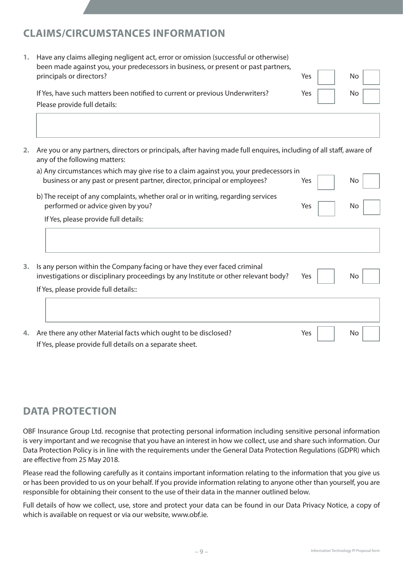## **CLAIMS/CIRCUMSTANCES INFORMATION**

| Have any claims alleging negligent act, error or omission (successful or otherwise)<br>been made against you, your predecessors in business, or present or past partners, |     |     |  |
|---------------------------------------------------------------------------------------------------------------------------------------------------------------------------|-----|-----|--|
| principals or directors?                                                                                                                                                  | Yes | No  |  |
| If Yes, have such matters been notified to current or previous Underwriters?                                                                                              | Yes | No. |  |
| Please provide full details:                                                                                                                                              |     |     |  |

**2.** Are you or any partners, directors or principals, after having made full enquires, including of all staff, aware of any of the following matters:

| a) Any circumstances which may give rise to a claim against you, your predecessors in |     |     |
|---------------------------------------------------------------------------------------|-----|-----|
| business or any past or present partner, director, principal or employees?            | Yes | No. |
| b) The receipt of any complaints, whether oral or in writing, regarding services      |     |     |
| performed or advice given by you?                                                     | Yes | No  |
|                                                                                       |     |     |

If Yes, please provide full details:

| 3. . | Is any person within the Company facing or have they ever faced criminal<br>investigations or disciplinary proceedings by any Institute or other relevant body?<br>If Yes, please provide full details:: | Yes | No |
|------|----------------------------------------------------------------------------------------------------------------------------------------------------------------------------------------------------------|-----|----|
|      |                                                                                                                                                                                                          |     |    |
| 4.   | Are there any other Material facts which ought to be disclosed?<br>If Yes, please provide full details on a separate sheet.                                                                              | Yes | No |

## **DATA PROTECTION**

OBF Insurance Group Ltd. recognise that protecting personal information including sensitive personal information is very important and we recognise that you have an interest in how we collect, use and share such information. Our Data Protection Policy is in line with the requirements under the General Data Protection Regulations (GDPR) which are effective from 25 May 2018.

Please read the following carefully as it contains important information relating to the information that you give us or has been provided to us on your behalf. If you provide information relating to anyone other than yourself, you are responsible for obtaining their consent to the use of their data in the manner outlined below.

Full details of how we collect, use, store and protect your data can be found in our Data Privacy Notice, a copy of which is available on request or via our website, www.obf.ie.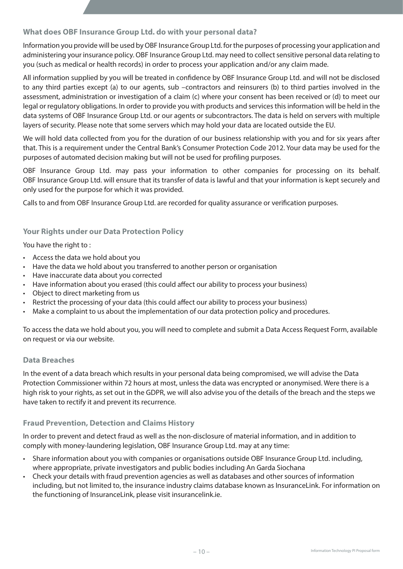#### **What does OBF Insurance Group Ltd. do with your personal data?**

Information you provide will be used by OBF Insurance Group Ltd. for the purposes of processing your application and administering your insurance policy. OBF Insurance Group Ltd. may need to collect sensitive personal data relating to you (such as medical or health records) in order to process your application and/or any claim made.

All information supplied by you will be treated in confidence by OBF Insurance Group Ltd. and will not be disclosed to any third parties except (a) to our agents, sub –contractors and reinsurers (b) to third parties involved in the assessment, administration or investigation of a claim (c) where your consent has been received or (d) to meet our legal or regulatory obligations. In order to provide you with products and services this information will be held in the data systems of OBF Insurance Group Ltd. or our agents or subcontractors. The data is held on servers with multiple layers of security. Please note that some servers which may hold your data are located outside the EU.

We will hold data collected from you for the duration of our business relationship with you and for six years after that. This is a requirement under the Central Bank's Consumer Protection Code 2012. Your data may be used for the purposes of automated decision making but will not be used for profiling purposes.

OBF Insurance Group Ltd. may pass your information to other companies for processing on its behalf. OBF Insurance Group Ltd. will ensure that its transfer of data is lawful and that your information is kept securely and only used for the purpose for which it was provided.

Calls to and from OBF Insurance Group Ltd. are recorded for quality assurance or verification purposes.

#### **Your Rights under our Data Protection Policy**

You have the right to:

- Access the data we hold about you
- Have the data we hold about you transferred to another person or organisation
- Have inaccurate data about you corrected
- Have information about you erased (this could affect our ability to process your business)
- Object to direct marketing from us
- Restrict the processing of your data (this could affect our ability to process your business)
- Make a complaint to us about the implementation of our data protection policy and procedures.

To access the data we hold about you, you will need to complete and submit a Data Access Request Form, available on request or via our website.

#### **Data Breaches**

In the event of a data breach which results in your personal data being compromised, we will advise the Data Protection Commissioner within 72 hours at most, unless the data was encrypted or anonymised. Were there is a high risk to your rights, as set out in the GDPR, we will also advise you of the details of the breach and the steps we have taken to rectify it and prevent its recurrence.

#### **Fraud Prevention, Detection and Claims History**

In order to prevent and detect fraud as well as the non-disclosure of material information, and in addition to comply with money-laundering legislation, OBF Insurance Group Ltd. may at any time:

- Share information about you with companies or organisations outside OBF Insurance Group Ltd. including, where appropriate, private investigators and public bodies including An Garda Siochana
- Check your details with fraud prevention agencies as well as databases and other sources of information including, but not limited to, the insurance industry claims database known as InsuranceLink. For information on the functioning of InsuranceLink, please visit insurancelink.ie.